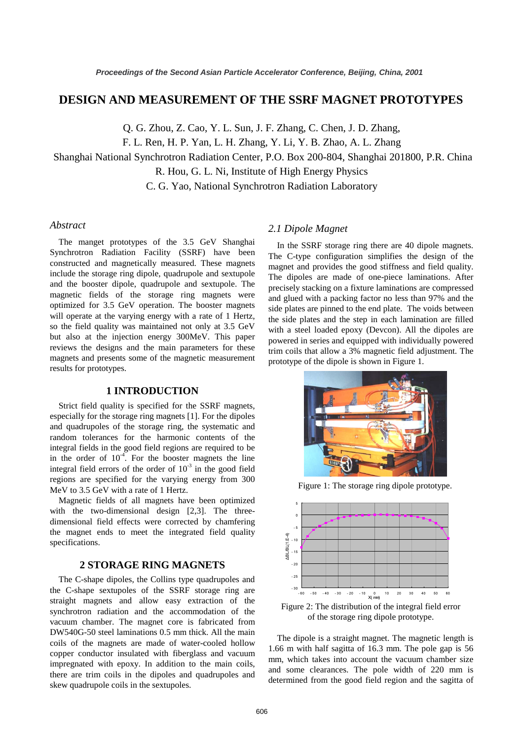# **DESIGN AND MEASUREMENT OF THE SSRF MAGNET PROTOTYPES**

Q. G. Zhou, Z. Cao, Y. L. Sun, J. F. Zhang, C. Chen, J. D. Zhang,

F. L. Ren, H. P. Yan, L. H. Zhang, Y. Li, Y. B. Zhao, A. L. Zhang

Shanghai National Synchrotron Radiation Center, P.O. Box 200-804, Shanghai 201800, P.R. China

R. Hou, G. L. Ni, Institute of High Energy Physics

C. G. Yao, National Synchrotron Radiation Laboratory

## *Abstract*

The manget prototypes of the 3.5 GeV Shanghai Synchrotron Radiation Facility (SSRF) have been constructed and magnetically measured. These magnets include the storage ring dipole, quadrupole and sextupole and the booster dipole, quadrupole and sextupole. The magnetic fields of the storage ring magnets were optimized for 3.5 GeV operation. The booster magnets will operate at the varying energy with a rate of 1 Hertz, so the field quality was maintained not only at 3.5 GeV but also at the injection energy 300MeV. This paper reviews the designs and the main parameters for these magnets and presents some of the magnetic measurement results for prototypes.

#### **1 INTRODUCTION**

Strict field quality is specified for the SSRF magnets, especially for the storage ring magnets [1]. For the dipoles and quadrupoles of the storage ring, the systematic and random tolerances for the harmonic contents of the integral fields in the good field regions are required to be in the order of  $10^{-4}$ . For the booster magnets the line integral field errors of the order of  $10^{-3}$  in the good field regions are specified for the varying energy from 300 MeV to 3.5 GeV with a rate of 1 Hertz.

Magnetic fields of all magnets have been optimized with the two-dimensional design [2,3]. The threedimensional field effects were corrected by chamfering the magnet ends to meet the integrated field quality specifications.

# **2 STORAGE RING MAGNETS**

The C-shape dipoles, the Collins type quadrupoles and the C-shape sextupoles of the SSRF storage ring are straight magnets and allow easy extraction of the synchrotron radiation and the accommodation of the vacuum chamber. The magnet core is fabricated from DW540G-50 steel laminations 0.5 mm thick. All the main coils of the magnets are made of water-cooled hollow copper conductor insulated with fiberglass and vacuum impregnated with epoxy. In addition to the main coils, there are trim coils in the dipoles and quadrupoles and skew quadrupole coils in the sextupoles.

## *2.1 Dipole Magnet*

In the SSRF storage ring there are 40 dipole magnets. The C-type configuration simplifies the design of the magnet and provides the good stiffness and field quality. The dipoles are made of one-piece laminations. After precisely stacking on a fixture laminations are compressed and glued with a packing factor no less than 97% and the side plates are pinned to the end plate. The voids between the side plates and the step in each lamination are filled with a steel loaded epoxy (Devcon). All the dipoles are powered in series and equipped with individually powered trim coils that allow a 3% magnetic field adjustment. The prototype of the dipole is shown in Figure 1.



Figure 1: The storage ring dipole prototype.



Figure 2: The distribution of the integral field error of the storage ring dipole prototype.

The dipole is a straight magnet. The magnetic length is 1.66 m with half sagitta of 16.3 mm. The pole gap is 56 mm, which takes into account the vacuum chamber size and some clearances. The pole width of 220 mm is determined from the good field region and the sagitta of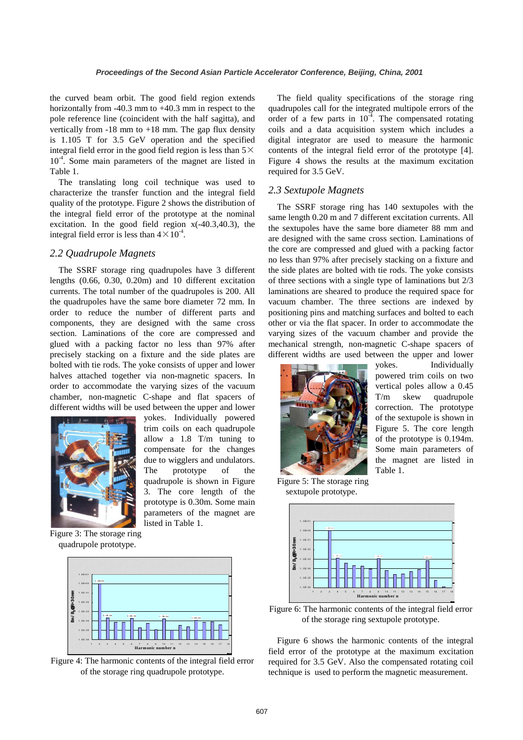the curved beam orbit. The good field region extends horizontally from -40.3 mm to +40.3 mm in respect to the pole reference line (coincident with the half sagitta), and vertically from  $-18$  mm to  $+18$  mm. The gap flux density is 1.105 T for 3.5 GeV operation and the specified integral field error in the good field region is less than  $5\times$ 10<sup>-4</sup>. Some main parameters of the magnet are listed in Table 1.

The translating long coil technique was used to characterize the transfer function and the integral field quality of the prototype. Figure 2 shows the distribution of the integral field error of the prototype at the nominal excitation. In the good field region x(-40.3,40.3), the integral field error is less than  $4 \times 10^{-4}$ .

#### *2.2 Quadrupole Magnets*

The SSRF storage ring quadrupoles have 3 different lengths (0.66, 0.30, 0.20m) and 10 different excitation currents. The total number of the quadrupoles is 200. All the quadrupoles have the same bore diameter 72 mm. In order to reduce the number of different parts and components, they are designed with the same cross section. Laminations of the core are compressed and glued with a packing factor no less than 97% after precisely stacking on a fixture and the side plates are bolted with tie rods. The yoke consists of upper and lower halves attached together via non-magnetic spacers. In order to accommodate the varying sizes of the vacuum chamber, non-magnetic C-shape and flat spacers of different widths will be used between the upper and lower



yokes. Individually powered trim coils on each quadrupole allow a 1.8 T/m tuning to compensate for the changes due to wigglers and undulators. The prototype of the quadrupole is shown in Figure 3. The core length of the prototype is 0.30m. Some main parameters of the magnet are listed in Table 1.

Figure 3: The storage ring quadrupole prototype.



Figure 4: The harmonic contents of the integral field error of the storage ring quadrupole prototype.

The field quality specifications of the storage ring quadrupoles call for the integrated multipole errors of the order of a few parts in  $10^{-4}$ . The compensated rotating coils and a data acquisition system which includes a digital integrator are used to measure the harmonic contents of the integral field error of the prototype [4]. Figure 4 shows the results at the maximum excitation required for 3.5 GeV.

# *2.3 Sextupole Magnets*

The SSRF storage ring has 140 sextupoles with the same length 0.20 m and 7 different excitation currents. All the sextupoles have the same bore diameter 88 mm and are designed with the same cross section. Laminations of the core are compressed and glued with a packing factor no less than 97% after precisely stacking on a fixture and the side plates are bolted with tie rods. The yoke consists of three sections with a single type of laminations but 2/3 laminations are sheared to produce the required space for vacuum chamber. The three sections are indexed by positioning pins and matching surfaces and bolted to each other or via the flat spacer. In order to accommodate the varying sizes of the vacuum chamber and provide the mechanical strength, non-magnetic C-shape spacers of different widths are used between the upper and lower



yokes. Individually powered trim coils on two vertical poles allow a 0.45 T/m skew quadrupole correction. The prototype of the sextupole is shown in Figure 5. The core length of the prototype is 0.194m. Some main parameters of the magnet are listed in Table 1.

Figure 5: The storage ring sextupole prototype.



Figure 6: The harmonic contents of the integral field error of the storage ring sextupole prototype.

Figure 6 shows the harmonic contents of the integral field error of the prototype at the maximum excitation required for 3.5 GeV. Also the compensated rotating coil technique is used to perform the magnetic measurement.